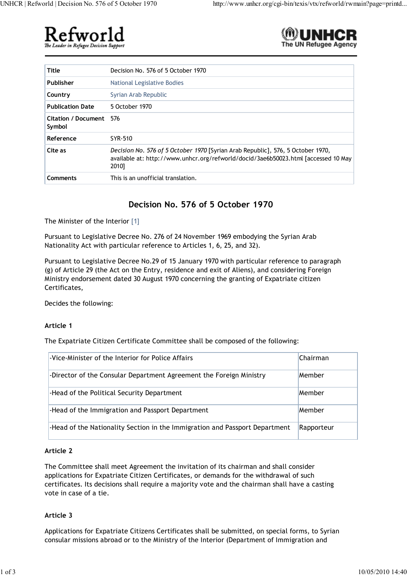



| <b>Title</b>                      | Decision No. 576 of 5 October 1970                                                                                                                                             |
|-----------------------------------|--------------------------------------------------------------------------------------------------------------------------------------------------------------------------------|
| Publisher                         | National Legislative Bodies                                                                                                                                                    |
| Country                           | Syrian Arab Republic                                                                                                                                                           |
| <b>Publication Date</b>           | 5 October 1970                                                                                                                                                                 |
| Citation / Document 576<br>Symbol |                                                                                                                                                                                |
| Reference                         | SYR-510                                                                                                                                                                        |
| Cite as                           | Decision No. 576 of 5 October 1970 [Syrian Arab Republic], 576, 5 October 1970,<br>available at: http://www.unhcr.org/refworld/docid/3ae6b50023.html [accessed 10 May<br>2010] |
| Comments                          | This is an unofficial translation.                                                                                                                                             |

# **Decision No. 576 of 5 October 1970**

The Minister of the Interior [1]

Pursuant to Legislative Decree No. 276 of 24 November 1969 embodying the Syrian Arab Nationality Act with particular reference to Articles 1, 6, 25, and 32).

Pursuant to Legislative Decree No.29 of 15 January 1970 with particular reference to paragraph (g) of Article 29 (the Act on the Entry, residence and exit of Aliens), and considering Foreign Ministry endorsement dated 30 August 1970 concerning the granting of Expatriate citizen Certificates,

Decides the following:

## **Article 1**

The Expatriate Citizen Certificate Committee shall be composed of the following:

| -Vice-Minister of the Interior for Police Affairs                           | Chairman   |
|-----------------------------------------------------------------------------|------------|
| -Director of the Consular Department Agreement the Foreign Ministry         | Member     |
| -Head of the Political Security Department                                  | Member     |
| -Head of the Immigration and Passport Department                            | Member     |
| -Head of the Nationality Section in the Immigration and Passport Department | Rapporteur |

## **Article 2**

The Committee shall meet Agreement the invitation of its chairman and shall consider applications for Expatriate Citizen Certificates, or demands for the withdrawal of such certificates. Its decisions shall require a majority vote and the chairman shall have a casting vote in case of a tie.

## **Article 3**

Applications for Expatriate Citizens Certificates shall be submitted, on special forms, to Syrian consular missions abroad or to the Ministry of the Interior (Department of Immigration and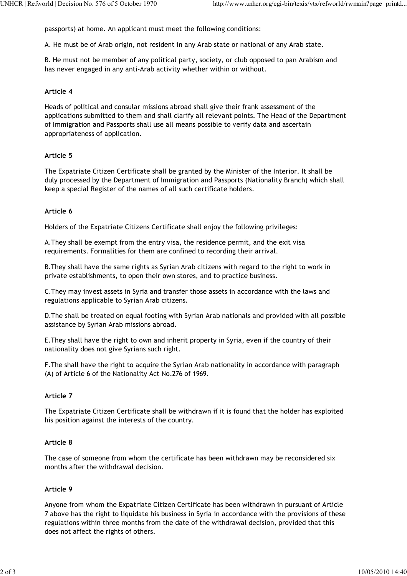passports) at home. An applicant must meet the following conditions:

A. He must be of Arab origin, not resident in any Arab state or national of any Arab state.

B. He must not be member of any political party, society, or club opposed to pan Arabism and has never engaged in any anti-Arab activity whether within or without.

## **Article 4**

Heads of political and consular missions abroad shall give their frank assessment of the applications submitted to them and shall clarify all relevant points. The Head of the Department of Immigration and Passports shall use all means possible to verify data and ascertain appropriateness of application.

# **Article 5**

The Expatriate Citizen Certificate shall be granted by the Minister of the Interior. It shall be duly processed by the Department of Immigration and Passports (Nationality Branch) which shall keep a special Register of the names of all such certificate holders.

## **Article 6**

Holders of the Expatriate Citizens Certificate shall enjoy the following privileges:

A.They shall be exempt from the entry visa, the residence permit, and the exit visa requirements. Formalities for them are confined to recording their arrival.

B.They shall have the same rights as Syrian Arab citizens with regard to the right to work in private establishments, to open their own stores, and to practice business.

C.They may invest assets in Syria and transfer those assets in accordance with the laws and regulations applicable to Syrian Arab citizens.

D.The shall be treated on equal footing with Syrian Arab nationals and provided with all possible assistance by Syrian Arab missions abroad.

E.They shall have the right to own and inherit property in Syria, even if the country of their nationality does not give Syrians such right.

F.The shall have the right to acquire the Syrian Arab nationality in accordance with paragraph (A) of Article 6 of the Nationality Act No.276 of 1969.

## **Article 7**

The Expatriate Citizen Certificate shall be withdrawn if it is found that the holder has exploited his position against the interests of the country.

## **Article 8**

The case of someone from whom the certificate has been withdrawn may be reconsidered six months after the withdrawal decision.

# **Article 9**

Anyone from whom the Expatriate Citizen Certificate has been withdrawn in pursuant of Article 7 above has the right to liquidate his business in Syria in accordance with the provisions of these regulations within three months from the date of the withdrawal decision, provided that this does not affect the rights of others.